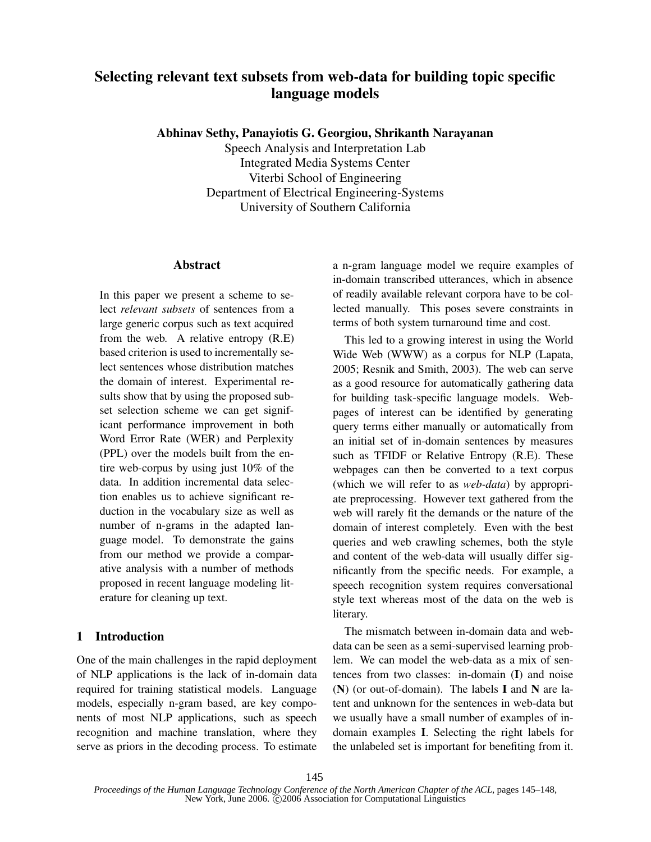# **Selecting relevant text subsets from web-data for building topic specific language models**

**Abhinav Sethy, Panayiotis G. Georgiou, Shrikanth Narayanan**

Speech Analysis and Interpretation Lab Integrated Media Systems Center Viterbi School of Engineering Department of Electrical Engineering-Systems University of Southern California

#### **Abstract**

In this paper we present a scheme to select *relevant subsets* of sentences from a large generic corpus such as text acquired from the web. A relative entropy (R.E) based criterion is used to incrementally select sentences whose distribution matches the domain of interest. Experimental results show that by using the proposed subset selection scheme we can get significant performance improvement in both Word Error Rate (WER) and Perplexity (PPL) over the models built from the entire web-corpus by using just 10% of the data. In addition incremental data selection enables us to achieve significant reduction in the vocabulary size as well as number of n-grams in the adapted language model. To demonstrate the gains from our method we provide a comparative analysis with a number of methods proposed in recent language modeling literature for cleaning up text.

### **1 Introduction**

One of the main challenges in the rapid deployment of NLP applications is the lack of in-domain data required for training statistical models. Language models, especially n-gram based, are key components of most NLP applications, such as speech recognition and machine translation, where they serve as priors in the decoding process. To estimate a n-gram language model we require examples of in-domain transcribed utterances, which in absence of readily available relevant corpora have to be collected manually. This poses severe constraints in terms of both system turnaround time and cost.

This led to a growing interest in using the World Wide Web (WWW) as a corpus for NLP (Lapata, 2005; Resnik and Smith, 2003). The web can serve as a good resource for automatically gathering data for building task-specific language models. Webpages of interest can be identified by generating query terms either manually or automatically from an initial set of in-domain sentences by measures such as TFIDF or Relative Entropy (R.E). These webpages can then be converted to a text corpus (which we will refer to as *web-data*) by appropriate preprocessing. However text gathered from the web will rarely fit the demands or the nature of the domain of interest completely. Even with the best queries and web crawling schemes, both the style and content of the web-data will usually differ significantly from the specific needs. For example, a speech recognition system requires conversational style text whereas most of the data on the web is literary.

The mismatch between in-domain data and webdata can be seen as a semi-supervised learning problem. We can model the web-data as a mix of sentences from two classes: in-domain (**I**) and noise (**N**) (or out-of-domain). The labels **I** and **N** are latent and unknown for the sentences in web-data but we usually have a small number of examples of indomain examples **I**. Selecting the right labels for the unlabeled set is important for benefiting from it.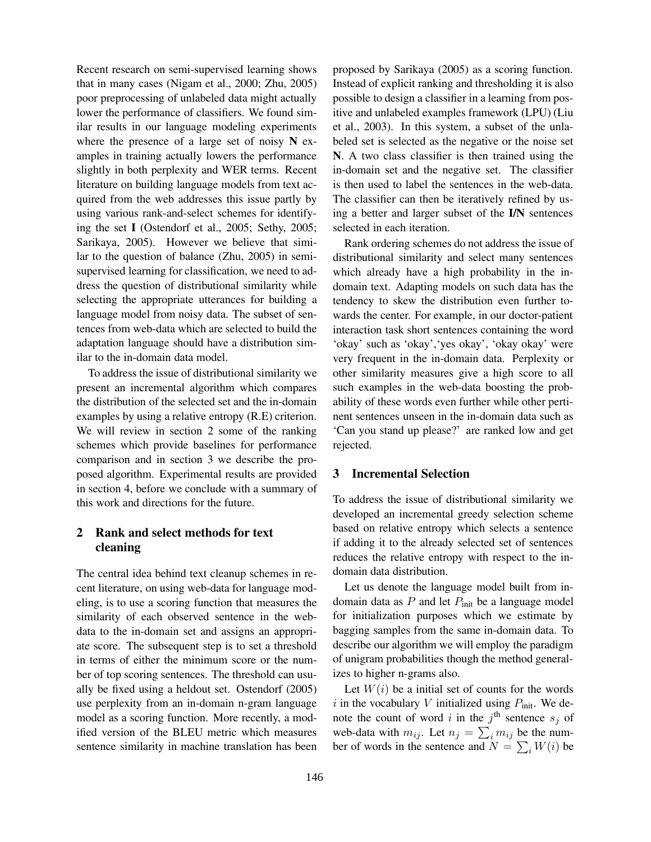Recent research on semi-supervised learning shows that in many cases (Nigam et al., 2000; Zhu, 2005) poor preprocessing of unlabeled data might actually lower the performance of classifiers. We found similar results in our language modeling experiments where the presence of a large set of noisy **N** examples in training actually lowers the performance slightly in both perplexity and WER terms. Recent literature on building language models from text acquired from the web addresses this issue partly by using various rank-and-select schemes for identifying the set **I** (Ostendorf et al., 2005; Sethy, 2005; Sarikaya, 2005). However we believe that similar to the question of balance (Zhu, 2005) in semisupervised learning for classification, we need to address the question of distributional similarity while selecting the appropriate utterances for building a language model from noisy data. The subset of sentences from web-data which are selected to build the adaptation language should have a distribution similar to the in-domain data model.

To address the issue of distributional similarity we present an incremental algorithm which compares the distribution of the selected set and the in-domain examples by using a relative entropy (R.E) criterion. We will review in section 2 some of the ranking schemes which provide baselines for performance comparison and in section 3 we describe the proposed algorithm. Experimental results are provided in section 4, before we conclude with a summary of this work and directions for the future.

## **2 Rank and select methods for text cleaning**

The central idea behind text cleanup schemes in recent literature, on using web-data for language modeling, is to use a scoring function that measures the similarity of each observed sentence in the webdata to the in-domain set and assigns an appropriate score. The subsequent step is to set a threshold in terms of either the minimum score or the number of top scoring sentences. The threshold can usually be fixed using a heldout set. Ostendorf (2005) use perplexity from an in-domain n-gram language model as a scoring function. More recently, a modified version of the BLEU metric which measures sentence similarity in machine translation has been

proposed by Sarikaya (2005) as a scoring function. Instead of explicit ranking and thresholding it is also possible to design a classifier in a learning from positive and unlabeled examples framework (LPU) (Liu et al., 2003). In this system, a subset of the unlabeled set is selected as the negative or the noise set **N**. A two class classifier is then trained using the in-domain set and the negative set. The classifier is then used to label the sentences in the web-data. The classifier can then be iteratively refined by using a better and larger subset of the **I/N** sentences selected in each iteration.

Rank ordering schemes do not address the issue of distributional similarity and select many sentences which already have a high probability in the indomain text. Adapting models on such data has the tendency to skew the distribution even further towards the center. For example, in our doctor-patient interaction task short sentences containing the word 'okay' such as 'okay','yes okay', 'okay okay' were very frequent in the in-domain data. Perplexity or other similarity measures give a high score to all such examples in the web-data boosting the probability of these words even further while other pertinent sentences unseen in the in-domain data such as 'Can you stand up please?' are ranked low and get rejected.

#### **3 Incremental Selection**

To address the issue of distributional similarity we developed an incremental greedy selection scheme based on relative entropy which selects a sentence if adding it to the already selected set of sentences reduces the relative entropy with respect to the indomain data distribution.

Let us denote the language model built from indomain data as  $P$  and let  $P_{init}$  be a language model for initialization purposes which we estimate by bagging samples from the same in-domain data. To describe our algorithm we will employ the paradigm of unigram probabilities though the method generalizes to higher n-grams also.

Let  $W(i)$  be a initial set of counts for the words i in the vocabulary V initialized using  $P_{\text{init}}$ . We denote the count of word i in the j<sup>th</sup> sentence  $s_j$  of web-data with  $m_{ij}$ . Let  $n_j = \sum_i m_{ij}$  be the number of words in the sentence and  $N = \sum_i W(i)$  be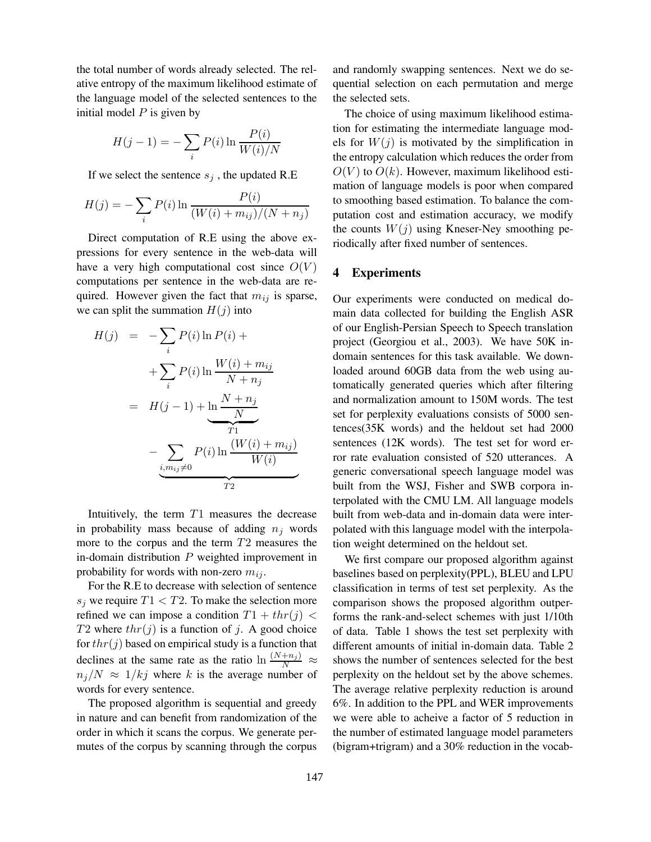the total number of words already selected. The relative entropy of the maximum likelihood estimate of the language model of the selected sentences to the initial model  $P$  is given by

$$
H(j-1) = -\sum_{i} P(i) \ln \frac{P(i)}{W(i)/N}
$$

If we select the sentence  $s_j$ , the updated R.E

$$
H(j) = -\sum_{i} P(i) \ln \frac{P(i)}{(W(i) + m_{ij})/(N + n_j)}
$$

Direct computation of R.E using the above expressions for every sentence in the web-data will have a very high computational cost since  $O(V)$ computations per sentence in the web-data are required. However given the fact that  $m_{ij}$  is sparse, we can split the summation  $H(j)$  into

$$
H(j) = -\sum_{i} P(i) \ln P(i) +
$$
  
+ 
$$
\sum_{i} P(i) \ln \frac{W(i) + m_{ij}}{N + n_{j}}
$$
  
= 
$$
H(j - 1) + \underbrace{\ln \frac{N + n_{j}}{N}}_{T1}
$$
  
- 
$$
\underbrace{\sum_{i, m_{ij} \neq 0} P(i) \ln \frac{(W(i) + m_{ij})}{W(i)}}_{T2}
$$

Intuitively, the term  $T1$  measures the decrease in probability mass because of adding  $n_i$  words more to the corpus and the term T2 measures the in-domain distribution  $P$  weighted improvement in probability for words with non-zero  $m_{ij}$ .

For the R.E to decrease with selection of sentence  $s_i$  we require  $T1 < T2$ . To make the selection more refined we can impose a condition  $T1 + thr(j)$ T2 where  $thr(j)$  is a function of j. A good choice for  $thr(j)$  based on empirical study is a function that declines at the same rate as the ratio  $\ln \frac{(N+n_j)}{N} \approx$  $n_j/N \approx 1/kj$  where k is the average number of words for every sentence.

The proposed algorithm is sequential and greedy in nature and can benefit from randomization of the order in which it scans the corpus. We generate permutes of the corpus by scanning through the corpus

and randomly swapping sentences. Next we do sequential selection on each permutation and merge the selected sets.

The choice of using maximum likelihood estimation for estimating the intermediate language models for  $W(j)$  is motivated by the simplification in the entropy calculation which reduces the order from  $O(V)$  to  $O(k)$ . However, maximum likelihood estimation of language models is poor when compared to smoothing based estimation. To balance the computation cost and estimation accuracy, we modify the counts  $W(j)$  using Kneser-Ney smoothing periodically after fixed number of sentences.

#### **4 Experiments**

Our experiments were conducted on medical domain data collected for building the English ASR of our English-Persian Speech to Speech translation project (Georgiou et al., 2003). We have 50K indomain sentences for this task available. We downloaded around 60GB data from the web using automatically generated queries which after filtering and normalization amount to 150M words. The test set for perplexity evaluations consists of 5000 sentences(35K words) and the heldout set had 2000 sentences (12K words). The test set for word error rate evaluation consisted of 520 utterances. A generic conversational speech language model was built from the WSJ, Fisher and SWB corpora interpolated with the CMU LM. All language models built from web-data and in-domain data were interpolated with this language model with the interpolation weight determined on the heldout set.

We first compare our proposed algorithm against baselines based on perplexity(PPL), BLEU and LPU classification in terms of test set perplexity. As the comparison shows the proposed algorithm outperforms the rank-and-select schemes with just 1/10th of data. Table 1 shows the test set perplexity with different amounts of initial in-domain data. Table 2 shows the number of sentences selected for the best perplexity on the heldout set by the above schemes. The average relative perplexity reduction is around 6%. In addition to the PPL and WER improvements we were able to acheive a factor of 5 reduction in the number of estimated language model parameters (bigram+trigram) and a 30% reduction in the vocab-